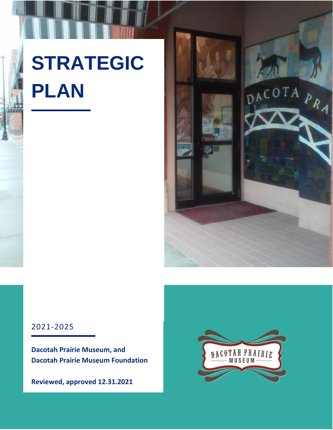# **STRATEGIC PLAN**



#### 2021-2025

**Dacotah Prairie Museum, and Dacotah Prairie Museum Foundation**

**Reviewed, approved 12.31.2021**

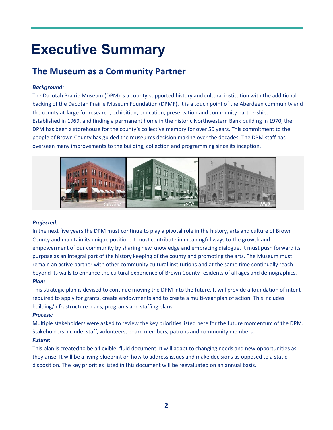### **Executive Summary**

#### **The Museum as a Community Partner**

#### *Background:*

The Dacotah Prairie Museum (DPM) is a county-supported history and cultural institution with the additional backing of the Dacotah Prairie Museum Foundation (DPMF). It is a touch point of the Aberdeen community and the county at-large for research, exhibition, education, preservation and community partnership. Established in 1969, and finding a permanent home in the historic Northwestern Bank building in 1970, the DPM has been a storehouse for the county's collective memory for over 50 years. This commitment to the people of Brown County has guided the museum's decision making over the decades. The DPM staff has overseen many improvements to the building, collection and programming since its inception.



#### *Projected:*

In the next five years the DPM must continue to play a pivotal role in the history, arts and culture of Brown County and maintain its unique position. It must contribute in meaningful ways to the growth and empowerment of our community by sharing new knowledge and embracing dialogue. It must push forward its purpose as an integral part of the history keeping of the county and promoting the arts. The Museum must remain an active partner with other community cultural institutions and at the same time continually reach beyond its walls to enhance the cultural experience of Brown County residents of all ages and demographics. *Plan:*

This strategic plan is devised to continue moving the DPM into the future. It will provide a foundation of intent required to apply for grants, create endowments and to create a multi-year plan of action. This includes building/infrastructure plans, programs and staffing plans.

#### *Process:*

Multiple stakeholders were asked to review the key priorities listed here for the future momentum of the DPM. Stakeholders include: staff, volunteers, board members, patrons and community members.

#### *Future:*

This plan is created to be a flexible, fluid document. It will adapt to changing needs and new opportunities as they arise. It will be a living blueprint on how to address issues and make decisions as opposed to a static disposition. The key priorities listed in this document will be reevaluated on an annual basis.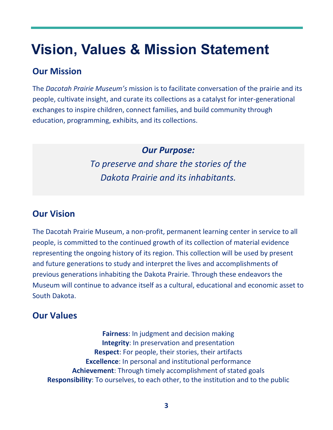## **Vision, Values & Mission Statement**

#### **Our Mission**

The *Dacotah Prairie Museum's* mission is to facilitate conversation of the prairie and its people, cultivate insight, and curate its collections as a catalyst for inter-generational exchanges to inspire children, connect families, and build community through education, programming, exhibits, and its collections.

> *Our Purpose: To preserve and share the stories of the*

*Dakota Prairie and its inhabitants.*

#### **Our Vision**

The Dacotah Prairie Museum, a non-profit, permanent learning center in service to all people, is committed to the continued growth of its collection of material evidence representing the ongoing history of its region. This collection will be used by present and future generations to study and interpret the lives and accomplishments of previous generations inhabiting the Dakota Prairie. Through these endeavors the Museum will continue to advance itself as a cultural, educational and economic asset to South Dakota.

### **Our Values**

**Fairness**: In judgment and decision making **Integrity**: In preservation and presentation **Respect**: For people, their stories, their artifacts **Excellence**: In personal and institutional performance **Achievement**: Through timely accomplishment of stated goals **Responsibility**: To ourselves, to each other, to the institution and to the public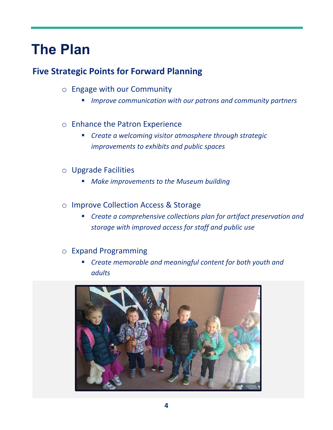### **The Plan**

#### **Five Strategic Points for Forward Planning**

- o Engage with our Community
	- *Improve communication with our patrons and community partners*

#### o Enhance the Patron Experience

- *Create a welcoming visitor atmosphere through strategic improvements to exhibits and public spaces*
- o Upgrade Facilities
	- *Make improvements to the Museum building*
- o Improve Collection Access & Storage
	- *Create a comprehensive collections plan for artifact preservation and storage with improved access for staff and public use*

#### o Expand Programming

▪ *Create memorable and meaningful content for both youth and adults*

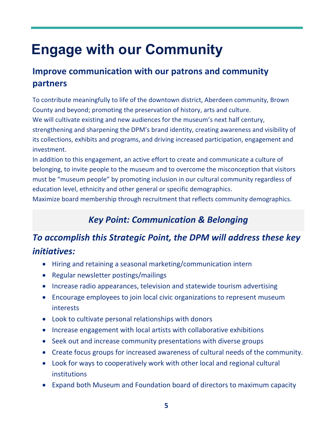## **Engage with our Community**

### **Improve communication with our patrons and community partners**

To contribute meaningfully to life of the downtown district, Aberdeen community, Brown County and beyond; promoting the preservation of history, arts and culture. We will cultivate existing and new audiences for the museum's next half century, strengthening and sharpening the DPM's brand identity, creating awareness and visibility of its collections, exhibits and programs, and driving increased participation, engagement and investment.

In addition to this engagement, an active effort to create and communicate a culture of belonging, to invite people to the museum and to overcome the misconception that visitors must be "museum people" by promoting inclusion in our cultural community regardless of education level, ethnicity and other general or specific demographics.

Maximize board membership through recruitment that reflects community demographics.

### *Key Point: Communication & Belonging*

- Hiring and retaining a seasonal marketing/communication intern
- Regular newsletter postings/mailings
- Increase radio appearances, television and statewide tourism advertising
- Encourage employees to join local civic organizations to represent museum interests
- Look to cultivate personal relationships with donors
- Increase engagement with local artists with collaborative exhibitions
- Seek out and increase community presentations with diverse groups
- Create focus groups for increased awareness of cultural needs of the community.
- Look for ways to cooperatively work with other local and regional cultural institutions
- Expand both Museum and Foundation board of directors to maximum capacity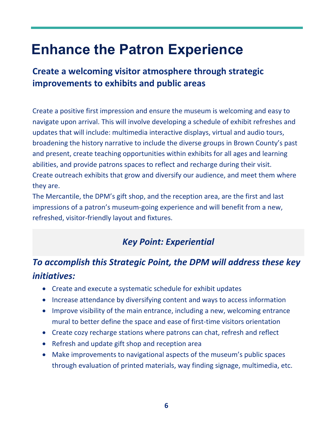## **Enhance the Patron Experience**

### **Create a welcoming visitor atmosphere through strategic improvements to exhibits and public areas**

Create a positive first impression and ensure the museum is welcoming and easy to navigate upon arrival. This will involve developing a schedule of exhibit refreshes and updates that will include: multimedia interactive displays, virtual and audio tours, broadening the history narrative to include the diverse groups in Brown County's past and present, create teaching opportunities within exhibits for all ages and learning abilities, and provide patrons spaces to reflect and recharge during their visit. Create outreach exhibits that grow and diversify our audience, and meet them where they are.

The Mercantile, the DPM's gift shop, and the reception area, are the first and last impressions of a patron's museum-going experience and will benefit from a new, refreshed, visitor-friendly layout and fixtures.

### *Key Point: Experiential*

- Create and execute a systematic schedule for exhibit updates
- Increase attendance by diversifying content and ways to access information
- Improve visibility of the main entrance, including a new, welcoming entrance mural to better define the space and ease of first-time visitors orientation
- Create cozy recharge stations where patrons can chat, refresh and reflect
- Refresh and update gift shop and reception area
- Make improvements to navigational aspects of the museum's public spaces through evaluation of printed materials, way finding signage, multimedia, etc.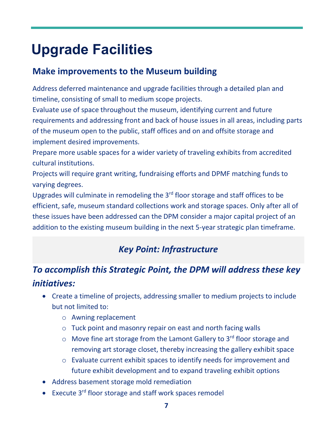## **Upgrade Facilities**

#### **Make improvements to the Museum building**

Address deferred maintenance and upgrade facilities through a detailed plan and timeline, consisting of small to medium scope projects.

Evaluate use of space throughout the museum, identifying current and future requirements and addressing front and back of house issues in all areas, including parts of the museum open to the public, staff offices and on and offsite storage and implement desired improvements.

Prepare more usable spaces for a wider variety of traveling exhibits from accredited cultural institutions.

Projects will require grant writing, fundraising efforts and DPMF matching funds to varying degrees.

Upgrades will culminate in remodeling the  $3<sup>rd</sup>$  floor storage and staff offices to be efficient, safe, museum standard collections work and storage spaces. Only after all of these issues have been addressed can the DPM consider a major capital project of an addition to the existing museum building in the next 5-year strategic plan timeframe.

### *Key Point: Infrastructure*

- Create a timeline of projects, addressing smaller to medium projects to include but not limited to:
	- o Awning replacement
	- o Tuck point and masonry repair on east and north facing walls
	- $\circ$  Move fine art storage from the Lamont Gallery to 3<sup>rd</sup> floor storage and removing art storage closet, thereby increasing the gallery exhibit space
	- o Evaluate current exhibit spaces to identify needs for improvement and future exhibit development and to expand traveling exhibit options
- Address basement storage mold remediation
- Execute 3<sup>rd</sup> floor storage and staff work spaces remodel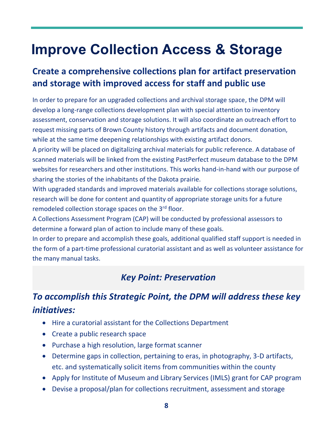## **Improve Collection Access & Storage**

#### **Create a comprehensive collections plan for artifact preservation and storage with improved access for staff and public use**

In order to prepare for an upgraded collections and archival storage space, the DPM will develop a long-range collections development plan with special attention to inventory assessment, conservation and storage solutions. It will also coordinate an outreach effort to request missing parts of Brown County history through artifacts and document donation, while at the same time deepening relationships with existing artifact donors.

A priority will be placed on digitalizing archival materials for public reference. A database of scanned materials will be linked from the existing PastPerfect museum database to the DPM websites for researchers and other institutions. This works hand-in-hand with our purpose of sharing the stories of the inhabitants of the Dakota prairie.

With upgraded standards and improved materials available for collections storage solutions, research will be done for content and quantity of appropriate storage units for a future remodeled collection storage spaces on the 3<sup>rd</sup> floor.

A Collections Assessment Program (CAP) will be conducted by professional assessors to determine a forward plan of action to include many of these goals.

In order to prepare and accomplish these goals, additional qualified staff support is needed in the form of a part-time professional curatorial assistant and as well as volunteer assistance for the many manual tasks.

#### *Key Point: Preservation*

- Hire a curatorial assistant for the Collections Department
- Create a public research space
- Purchase a high resolution, large format scanner
- Determine gaps in collection, pertaining to eras, in photography, 3-D artifacts, etc. and systematically solicit items from communities within the county
- Apply for Institute of Museum and Library Services (IMLS) grant for CAP program
- Devise a proposal/plan for collections recruitment, assessment and storage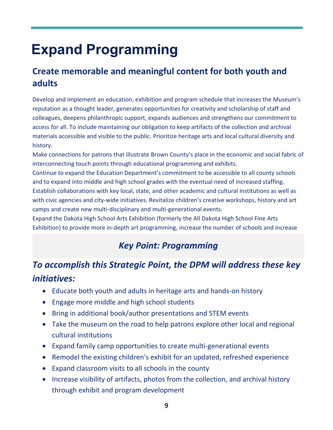## **Expand Programming**

### **Create memorable and meaningful content for both youth and adults**

Develop and implement an education, exhibition and program schedule that increases the Museum's reputation as a thought leader, generates opportunities for creativity and scholarship of staff and colleagues, deepens philanthropic support, expands audiences and strengthens our commitment to access for all. To include maintaining our obligation to keep artifacts of the collection and archival materials accessible and visible to the public. Prioritize heritage arts and local cultural diversity and history.

Make connections for patrons that illustrate Brown County's place in the economic and social fabric of interconnecting touch points through educational programming and exhibits.

Continue to expand the Education Department's commitment to be accessible to all county schools and to expand into middle and high school grades with the eventual need of increased staffing. Establish collaborations with key local, state, and other academic and cultural institutions as well as with civic agencies and city-wide initiatives. Revitalize children's creative workshops, history and art camps and create new multi-disciplinary and multi-generational events.

Expand the Dakota High School Arts Exhibition (formerly the All Dakota High School Fine Arts Exhibition) to provide more in-depth art programming, increase the number of schools and increase

#### *Key Point: Programming*

- Educate both youth and adults in heritage arts and hands-on history
- Engage more middle and high school students
- Bring in additional book/author presentations and STEM events
- Take the museum on the road to help patrons explore other local and regional cultural institutions
- Expand family camp opportunities to create multi-generational events
- Remodel the existing children's exhibit for an updated, refreshed experience
- Expand classroom visits to all schools in the county
- Increase visibility of artifacts, photos from the collection, and archival history through exhibit and program development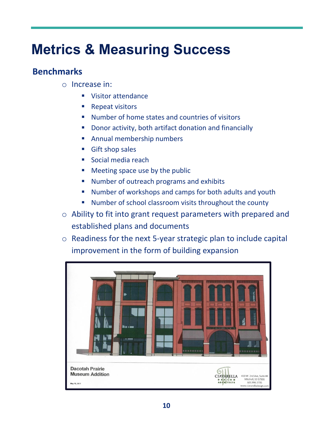## **Metrics & Measuring Success**

#### **Benchmarks**

- o Increase in:
	- Visitor attendance
	- Repeat visitors
	- Number of home states and countries of visitors
	- **Donor activity, both artifact donation and financially**
	- Annual membership numbers
	- Gift shop sales
	- Social media reach
	- Meeting space use by the public
	- Number of outreach programs and exhibits
	- Number of workshops and camps for both adults and youth
	- Number of school classroom visits throughout the county
- o Ability to fit into grant request parameters with prepared and established plans and documents
- o Readiness for the next 5-year strategic plan to include capital improvement in the form of building expansion

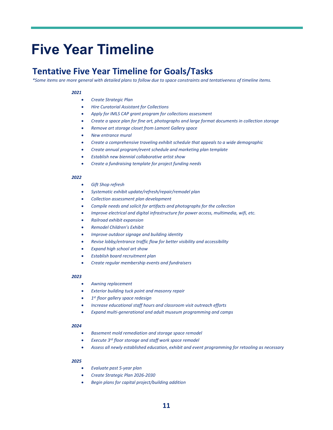### **Five Year Timeline**

#### **Tentative Five Year Timeline for Goals/Tasks**

*\*Some items are more general with detailed plans to follow due to space constraints and tentativeness of timeline items.*

#### *2021*

- *Create Strategic Plan*
- *Hire Curatorial Assistant for Collections*
- *Apply for IMLS CAP grant program for collections assessment*
- *Create a space plan for fine art, photographs and large format documents in collection storage*
- *Remove art storage closet from Lamont Gallery space*
- *New entrance mural*
- *Create a comprehensive traveling exhibit schedule that appeals to a wide demographic*
- *Create annual program/event schedule and marketing plan template*
- *Establish new biennial collaborative artist show*
- *Create a fundraising template for project funding needs*

#### *2022*

- *Gift Shop refresh*
- *Systematic exhibit update/refresh/repair/remodel plan*
- *Collection assessment plan development*
- *Compile needs and solicit for artifacts and photographs for the collection*
- *Improve electrical and digital infrastructure for power access, multimedia, wifi, etc.*
- *Railroad exhibit expansion*
- *Remodel Children's Exhibit*
- *Improve outdoor signage and building identity*
- *Revise lobby/entrance traffic flow for better visibility and accessibility*
- *Expand high school art show*
- *Establish board recruitment plan*
- *Create regular membership events and fundraisers*

#### *2023*

- *Awning replacement*
- *Exterior building tuck point and masonry repair*
- *1 st floor gallery space redesign*
- *Increase educational staff hours and classroom visit outreach efforts*
- *Expand multi-generational and adult museum programming and camps*

#### *2024*

- *Basement mold remediation and storage space remodel*
- *Execute 3rd floor storage and staff work space remodel*
- *Assess all newly established education, exhibit and event programming for retooling as necessary*

#### *2025*

- *Evaluate past 5-year plan*
- *Create Strategic Plan 2026-2030*
- *Begin plans for capital project/building addition*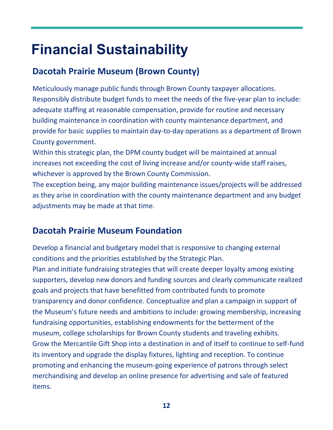## **Financial Sustainability**

### **Dacotah Prairie Museum (Brown County)**

Meticulously manage public funds through Brown County taxpayer allocations. Responsibly distribute budget funds to meet the needs of the five-year plan to include: adequate staffing at reasonable compensation, provide for routine and necessary building maintenance in coordination with county maintenance department, and provide for basic supplies to maintain day-to-day operations as a department of Brown County government.

Within this strategic plan, the DPM county budget will be maintained at annual increases not exceeding the cost of living increase and/or county-wide staff raises, whichever is approved by the Brown County Commission.

The exception being, any major building maintenance issues/projects will be addressed as they arise in coordination with the county maintenance department and any budget adjustments may be made at that time.

### **Dacotah Prairie Museum Foundation**

Develop a financial and budgetary model that is responsive to changing external conditions and the priorities established by the Strategic Plan.

Plan and initiate fundraising strategies that will create deeper loyalty among existing supporters, develop new donors and funding sources and clearly communicate realized goals and projects that have benefitted from contributed funds to promote transparency and donor confidence. Conceptualize and plan a campaign in support of the Museum's future needs and ambitions to include: growing membership, increasing fundraising opportunities, establishing endowments for the betterment of the museum, college scholarships for Brown County students and traveling exhibits. Grow the Mercantile Gift Shop into a destination in and of itself to continue to self-fund its inventory and upgrade the display fixtures, lighting and reception. To continue promoting and enhancing the museum-going experience of patrons through select merchandising and develop an online presence for advertising and sale of featured items.